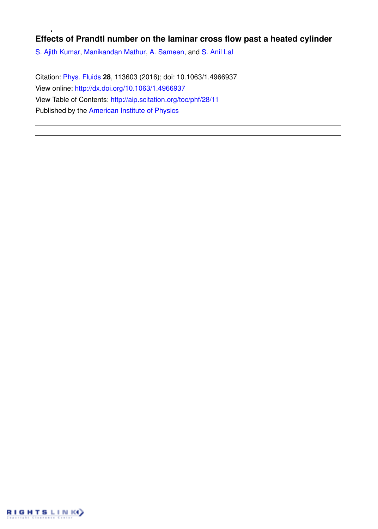## **Effects of Prandtl number on the laminar cross flow past a heated cylinder**

S. Ajith Kumar, Manikandan Mathur, A. Sameen, and S. Anil Lal

Citation: Phys. Fluids **28**, 113603 (2016); doi: 10.1063/1.4966937 View online: http://dx.doi.org/10.1063/1.4966937 View Table of Contents: http://aip.scitation.org/toc/phf/28/11 Published by the American Institute of Physics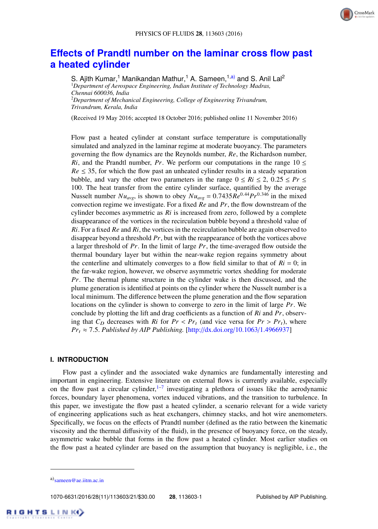

# **Effects of Prandtl number on the laminar cross flow past a heated cylinder**

S. Ajith Kumar,<sup>1</sup> Manikandan Mathur,<sup>1</sup> A. Sameen,<sup>1,a)</sup> and S. Anil Lal<sup>2</sup> <sup>1</sup>*Department of Aerospace Engineering, Indian Institute of Technology Madras, Chennai 600036, India* <sup>2</sup>*Department of Mechanical Engineering, College of Engineering Trivandrum, Trivandrum, Kerala, India*

(Received 19 May 2016; accepted 18 October 2016; published online 11 November 2016)

Flow past a heated cylinder at constant surface temperature is computationally simulated and analyzed in the laminar regime at moderate buoyancy. The parameters governing the flow dynamics are the Reynolds number, *Re*, the Richardson number, *Ri*, and the Prandtl number, *Pr*. We perform our computations in the range  $10 \le$  $Re \leq 35$ , for which the flow past an unheated cylinder results in a steady separation bubble, and vary the other two parameters in the range  $0 \le Ri \le 2$ ,  $0.25 \le Pr \le$ 100. The heat transfer from the entire cylinder surface, quantified by the average Nusselt number  $Nu_{avg}$ , is shown to obey  $Nu_{avg} = 0.7435\dot{Re}^{0.44}Pr^{0.346}$  in the mixed convection regime we investigate. For a fixed *Re* and *Pr*, the flow downstream of the cylinder becomes asymmetric as *Ri* is increased from zero, followed by a complete disappearance of the vortices in the recirculation bubble beyond a threshold value of *Ri*. For a fixed *Re* and *Ri*, the vortices in the recirculation bubble are again observed to disappear beyond a threshold *Pr*, but with the reappearance of both the vortices above a larger threshold of *Pr*. In the limit of large *Pr*, the time-averaged flow outside the thermal boundary layer but within the near-wake region regains symmetry about the centerline and ultimately converges to a flow field similar to that of  $Ri = 0$ ; in the far-wake region, however, we observe asymmetric vortex shedding for moderate *Pr*. The thermal plume structure in the cylinder wake is then discussed, and the plume generation is identified at points on the cylinder where the Nusselt number is a local minimum. The difference between the plume generation and the flow separation locations on the cylinder is shown to converge to zero in the limit of large *Pr*. We conclude by plotting the lift and drag coefficients as a function of *Ri* and *Pr*, observing that  $C_D$  decreases with  $R_i$  for  $Pr < Pr_t$  (and vice versa for  $Pr > Pr_t$ ), where  $Pr_t \approx 7.5$ . *Published by AIP Publishing.* [http://dx.doi.org/10.1063/1.4966937]

#### **I. INTRODUCTION**

Flow past a cylinder and the associated wake dynamics are fundamentally interesting and important in engineering. Extensive literature on external flows is currently available, especially on the flow past a circular cylinder, $1-7$  investigating a plethora of issues like the aerodynamic forces, boundary layer phenomena, vortex induced vibrations, and the transition to turbulence. In this paper, we investigate the flow past a heated cylinder, a scenario relevant for a wide variety of engineering applications such as heat exchangers, chimney stacks, and hot wire anemometers. Specifically, we focus on the effects of Prandtl number (defined as the ratio between the kinematic viscosity and the thermal diffusivity of the fluid), in the presence of buoyancy force, on the steady, asymmetric wake bubble that forms in the flow past a heated cylinder. Most earlier studies on the flow past a heated cylinder are based on the assumption that buoyancy is negligible, i.e., the

1070-6631/2016/28(11)/113603/21/\$30.00 **28**, 113603-1 Published by AIP Publishing.

a)<sub>sameen@ae.iitm.ac.in</sub>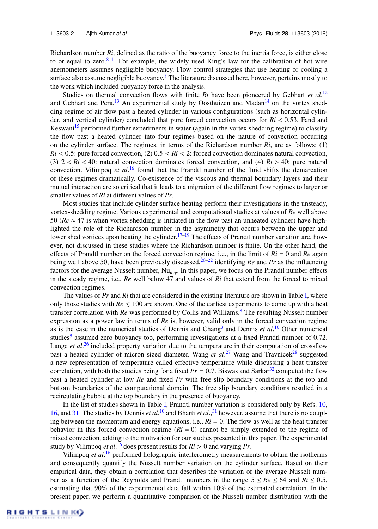Richardson number *Ri*, defined as the ratio of the buoyancy force to the inertia force, is either close to or equal to zero.<sup>8–11</sup> For example, the widely used King's law for the calibration of hot wire anemometers assumes negligible buoyancy. Flow control strategies that use heating or cooling a surface also assume negligible buoyancy. $8$  The literature discussed here, however, pertains mostly to the work which included buoyancy force in the analysis.

Studies on thermal convection flows with finite *Ri* have been pioneered by Gebhart *et al.*<sup>12</sup> and Gebhart and Pera.<sup>13</sup> An experimental study by Oosthuizen and Madan<sup>14</sup> on the vortex shedding regime of air flow past a heated cylinder in various configurations (such as horizontal cylinder, and vertical cylinder) concluded that pure forced convection occurs for *Ri* < 0.53. Fand and Keswani<sup>15</sup> performed further experiments in water (again in the vortex shedding regime) to classify the flow past a heated cylinder into four regimes based on the nature of convection occurring on the cylinder surface. The regimes, in terms of the Richardson number *Ri*, are as follows: (1)  $Ri$  < 0.5: pure forced convection, (2)  $0.5 < Ri$  < 2: forced convection dominates natural convection, (3)  $2 < Ri < 40$ : natural convection dominates forced convection, and (4)  $Ri > 40$ : pure natural convection. Vilimpoq *et al*. <sup>16</sup> found that the Prandtl number of the fluid shifts the demarcation of these regimes dramatically. Co-existence of the viscous and thermal boundary layers and their mutual interaction are so critical that it leads to a migration of the different flow regimes to larger or smaller values of *Ri* at different values of *Pr*.

Most studies that include cylinder surface heating perform their investigations in the unsteady, vortex-shedding regime. Various experimental and computational studies at values of *Re* well above 50 ( $Re \approx 47$  is when vortex shedding is initiated in the flow past an unheated cylinder) have highlighted the role of the Richardson number in the asymmetry that occurs between the upper and lower shed vortices upon heating the cylinder.<sup>17–19</sup> The effects of Prandtl number variation are, however, not discussed in these studies where the Richardson number is finite. On the other hand, the effects of Prandtl number on the forced convection regime, i.e., in the limit of  $Ri = 0$  and  $Re$  again being well above 50, have been previously discussed,<sup>20–22</sup> identifying *Re* and *Pr* as the influencing factors for the average Nusselt number, Nu*avg*. In this paper, we focus on the Prandtl number effects in the steady regime, i.e., *Re* well below 47 and values of *Ri* that extend from the forced to mixed convection regimes.

The values of *Pr* and *Ri* that are considered in the existing literature are shown in Table I, where only those studies with  $Re \leq 100$  are shown. One of the earliest experiments to come up with a heat transfer correlation with *Re* was performed by Collis and Williams.<sup>8</sup> The resulting Nusselt number expression as a power law in terms of *Re* is, however, valid only in the forced convection regime as is the case in the numerical studies of Dennis and Chang<sup>3</sup> and Dennis *et al.*<sup>10</sup> Other numerical studies<sup>9</sup> assumed zero buoyancy too, performing investigations at a fixed Prandtl number of 0.72. Lange *et al*. <sup>26</sup> included property variation due to the temperature in their computation of crossflow past a heated cylinder of micron sized diameter. Wang *et al.<sup>27</sup>* Wang and Travnicek<sup>28</sup> suggested a new representation of temperature called effective temperature while discussing a heat transfer correlation, with both the studies being for a fixed  $Pr = 0.7$ . Biswas and Sarkar<sup>32</sup> computed the flow past a heated cylinder at low *Re* and fixed *Pr* with free slip boundary conditions at the top and bottom boundaries of the computational domain. The free slip boundary conditions resulted in a recirculating bubble at the top boundary in the presence of buoyancy.

In the list of studies shown in Table I, Prandtl number variation is considered only by Refs. 10, 16, and 31. The studies by Dennis *et al*. <sup>10</sup> and Bharti *et al*., <sup>31</sup> however, assume that there is no coupling between the momentum and energy equations, i.e.,  $Ri = 0$ . The flow as well as the heat transfer behavior in this forced convection regime  $(Ri = 0)$  cannot be simply extended to the regime of mixed convection, adding to the motivation for our studies presented in this paper. The experimental study by Vilimpoq *et al*. <sup>16</sup> does present results for *Ri* > 0 and varying *Pr*.

Vilimpoq *et al*.<sup>16</sup> performed holographic interferometry measurements to obtain the isotherms and consequently quantify the Nusselt number variation on the cylinder surface. Based on their empirical data, they obtain a correlation that describes the variation of the average Nusselt number as a function of the Reynolds and Prandtl numbers in the range  $5 \leq Re \leq 64$  and  $Ri \leq 0.5$ , estimating that 90% of the experimental data fall within 10% of the estimated correlation. In the present paper, we perform a quantitative comparison of the Nusselt number distribution with the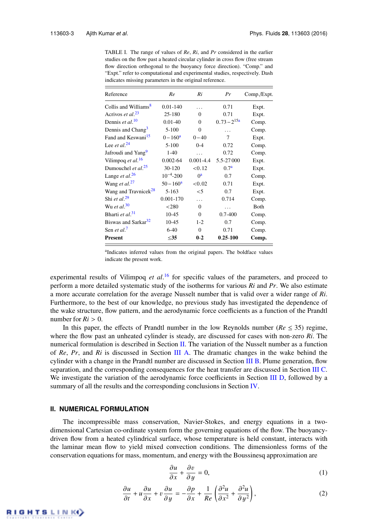TABLE I. The range of values of *Re*, *Ri*, and *Pr* considered in the earlier studies on the flow past a heated circular cylinder in cross flow (free stream flow direction orthogonal to the buoyancy force direction). "Comp." and "Expt." refer to computational and experimental studies, respectively. Dash indicates missing parameters in the original reference.

| Reference                             | Re              | Ri            | Pr               | Comp./Expt. |
|---------------------------------------|-----------------|---------------|------------------|-------------|
| Collis and Williams <sup>8</sup>      | $0.01 - 140$    | .             | 0.71             | Expt.       |
| Acrivos et al. <sup>23</sup>          | 25-180          | $\Omega$      | 0.71             | Expt.       |
| Dennis et al. <sup>10</sup>           | $0.01 - 40$     | $\Omega$      | $0.73 - 2^{15a}$ | Comp.       |
| Dennis and Chang <sup>3</sup>         | $5 - 100$       | $\theta$      | .                | Comp.       |
| Fand and Keswani <sup>15</sup>        | $0 - 160^a$     | $0 - 40$      | 7                | Expt.       |
| Lee <i>et al.</i> <sup>24</sup>       | $5 - 100$       | $0 - 4$       | 0.72             | Comp.       |
| Jafroudi and Yang <sup>9</sup>        | $1-40$          | $\ddotsc$     | 0.72             | Comp.       |
| Vilimpoq et al. <sup>16</sup>         | $0.002 - 64$    | $0.001 - 4.4$ | 5.5-27 000       | Expt.       |
| Dumouchel <i>et al.</i> <sup>25</sup> | 30-120          | < 0.12        | 0.7 <sup>a</sup> | Expt.       |
| Lange et al. $26$                     | $10^{-4} - 200$ | $0^a$         | 0.7              | Comp.       |
| Wang et al. $27$                      | $50 - 160^a$    | < 0.02        | 0.71             | Expt.       |
| Wang and Travnicek <sup>28</sup>      | $5 - 163$       | $\leq 5$      | 0.7              | Expt.       |
| Shi et al. $^{29}$                    | $0.001 - 170$   | $\ddotsc$     | 0.714            | Comp.       |
| Wu et al. $30$                        | < 280           | $\Omega$      | .                | Both        |
| Bharti et al. <sup>31</sup>           | $10 - 45$       | $\theta$      | $0.7 - 400$      | Comp.       |
| Biswas and Sarkar <sup>32</sup>       | $10-45$         | $1 - 2$       | 0.7              | Comp.       |
| Sen et al. <sup>7</sup>               | $6 - 40$        | $\Omega$      | 0.71             | Comp.       |
| <b>Present</b>                        | $\leq$ 35       | $0-2$         | $0.25 - 100$     | Comp.       |

<sup>a</sup>Indicates inferred values from the original papers. The boldface values indicate the present work.

experimental results of Vilimpoq *et al.*<sup>16</sup> for specific values of the parameters, and proceed to perform a more detailed systematic study of the isotherms for various *Ri* and *Pr*. We also estimate a more accurate correlation for the average Nusselt number that is valid over a wider range of *Ri*. Furthermore, to the best of our knowledge, no previous study has investigated the dependence of the wake structure, flow pattern, and the aerodynamic force coefficients as a function of the Prandtl number for  $Ri > 0$ .

In this paper, the effects of Prandtl number in the low Reynolds number ( $Re \leq 35$ ) regime, where the flow past an unheated cylinder is steady, are discussed for cases with non-zero *Ri*. The numerical formulation is described in Section II. The variation of the Nusselt number as a function of *Re*, *Pr*, and *Ri* is discussed in Section III A. The dramatic changes in the wake behind the cylinder with a change in the Prandtl number are discussed in Section III B. Plume generation, flow separation, and the corresponding consequences for the heat transfer are discussed in Section III C. We investigate the variation of the aerodynamic force coefficients in Section III D, followed by a summary of all the results and the corresponding conclusions in Section IV.

#### **II. NUMERICAL FORMULATION**

The incompressible mass conservation, Navier-Stokes, and energy equations in a twodimensional Cartesian co-ordinate system form the governing equations of the flow. The buoyancydriven flow from a heated cylindrical surface, whose temperature is held constant, interacts with the laminar mean flow to yield mixed convection conditions. The dimensionless forms of the conservation equations for mass, momentum, and energy with the Boussinesq approximation are

$$
\frac{\partial u}{\partial x} + \frac{\partial v}{\partial y} = 0,\tag{1}
$$

$$
\frac{\partial u}{\partial t} + u \frac{\partial u}{\partial x} + v \frac{\partial u}{\partial y} = -\frac{\partial p}{\partial x} + \frac{1}{Re} \left( \frac{\partial^2 u}{\partial x^2} + \frac{\partial^2 u}{\partial y^2} \right),\tag{2}
$$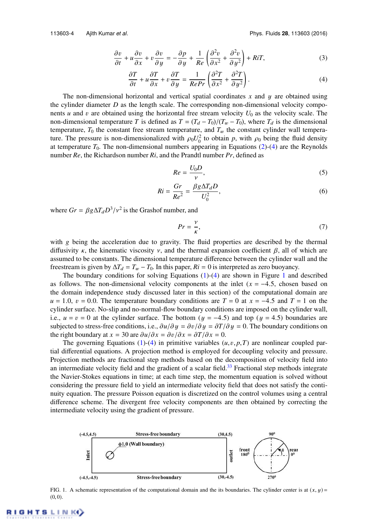$$
\frac{\partial v}{\partial t} + u \frac{\partial v}{\partial x} + v \frac{\partial v}{\partial y} = -\frac{\partial p}{\partial y} + \frac{1}{Re} \left( \frac{\partial^2 v}{\partial x^2} + \frac{\partial^2 v}{\partial y^2} \right) + RiT,\tag{3}
$$

$$
\frac{\partial T}{\partial t} + u \frac{\partial T}{\partial x} + v \frac{\partial T}{\partial y} = \frac{1}{RePr} \left( \frac{\partial^2 T}{\partial x^2} + \frac{\partial^2 T}{\partial y^2} \right).
$$
 (4)

The non-dimensional horizontal and vertical spatial coordinates *x* and y are obtained using the cylinder diameter  $D$  as the length scale. The corresponding non-dimensional velocity components *u* and *v* are obtained using the horizontal free stream velocity  $U_0$  as the velocity scale. The non-dimensional temperature *T* is defined as  $T = (T_d - T_0)/(T_w - T_0)$ , where  $T_d$  is the dimensional temperature,  $T_0$  the constant free stream temperature, and  $T_w$  the constant cylinder wall temperature. The pressure is non-dimensionalized with  $\rho_0 U_0^2$  to obtain *p*, with  $\rho_0$  being the fluid density at temperature  $T_0$ . The non-dimensional numbers appearing in Equations (2)-(4) are the Reynolds number *Re*, the Richardson number *Ri*, and the Prandtl number *Pr*, defined as

$$
Re = \frac{U_0 D}{\nu},\tag{5}
$$

$$
Ri = \frac{Gr}{Re^2} = \frac{\beta g \Delta T_d D}{U_0^2},\tag{6}
$$

where  $Gr = \beta g \Delta T_d D^3 / v^2$  is the Grashof number, and

$$
Pr = \frac{v}{\kappa},\tag{7}
$$

with  $g$  being the acceleration due to gravity. The fluid properties are described by the thermal diffusivity  $\kappa$ , the kinematic viscosity  $\nu$ , and the thermal expansion coefficient  $\beta$ , all of which are assumed to be constants. The dimensional temperature difference between the cylinder wall and the freestream is given by  $\Delta T_d = T_w - T_0$ . In this paper,  $R_i = 0$  is interpreted as zero buoyancy.

The boundary conditions for solving Equations  $(1)-(4)$  are shown in Figure 1 and described as follows. The non-dimensional velocity components at the inlet  $(x = -4.5,$  chosen based on the domain independence study discussed later in this section) of the computational domain are  $u = 1.0$ ,  $v = 0.0$ . The temperature boundary conditions are  $T = 0$  at  $x = -4.5$  and  $T = 1$  on the cylinder surface. No-slip and no-normal-flow boundary conditions are imposed on the cylinder wall, i.e.,  $u = v = 0$  at the cylinder surface. The bottom ( $y = -4.5$ ) and top ( $y = 4.5$ ) boundaries are subjected to stress-free conditions, i.e.,  $\partial u/\partial y = \partial v/\partial y = \partial T/\partial y = 0$ . The boundary conditions on the right boundary at  $x = 30$  are  $\frac{\partial u}{\partial x} = \frac{\partial v}{\partial x} = \frac{\partial T}{\partial x} = 0$ .

The governing Equations (1)-(4) in primitive variables  $(u, v, p, T)$  are nonlinear coupled partial differential equations. A projection method is employed for decoupling velocity and pressure. Projection methods are fractional step methods based on the decomposition of velocity field into an intermediate velocity field and the gradient of a scalar field.<sup>33</sup> Fractional step methods integrate the Navier-Stokes equations in time; at each time step, the momentum equation is solved without considering the pressure field to yield an intermediate velocity field that does not satisfy the continuity equation. The pressure Poisson equation is discretized on the control volumes using a central difference scheme. The divergent free velocity components are then obtained by correcting the intermediate velocity using the gradient of pressure.



FIG. 1. A schematic representation of the computational domain and the its boundaries. The cylinder center is at  $(x, y)$  =  $(0, 0)$ .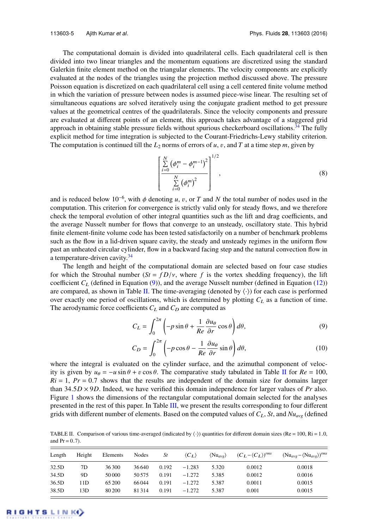The computational domain is divided into quadrilateral cells. Each quadrilateral cell is then divided into two linear triangles and the momentum equations are discretized using the standard Galerkin finite element method on the triangular elements. The velocity components are explicitly evaluated at the nodes of the triangles using the projection method discussed above. The pressure Poisson equation is discretized on each quadrilateral cell using a cell centered finite volume method in which the variation of pressure between nodes is assumed piece-wise linear. The resulting set of simultaneous equations are solved iteratively using the conjugate gradient method to get pressure values at the geometrical centres of the quadrilaterals. Since the velocity components and pressure are evaluated at different points of an element, this approach takes advantage of a staggered grid approach in obtaining stable pressure fields without spurious checkerboard oscillations.<sup>34</sup> The fully explicit method for time integration is subjected to the Courant-Friedrichs-Lewy stability criterion. The computation is continued till the  $L_2$  norms of errors of  $u$ ,  $v$ , and  $T$  at a time step  $m$ , given by

$$
\left[\frac{\sum_{i=0}^{N} (\phi_i^m - \phi_i^{m-1})^2}{\sum_{i=0}^{N} (\phi_i^m)^2}\right]^{1/2},
$$
\n(8)

and is reduced below  $10^{-6}$ , with  $\phi$  denoting *u*, *v*, or *T* and *N* the total number of nodes used in the computation. This criterion for convergence is strictly valid only for steady flows, and we therefore check the temporal evolution of other integral quantities such as the lift and drag coefficients, and the average Nusselt number for flows that converge to an unsteady, oscillatory state. This hybrid finite element-finite volume code has been tested satisfactorily on a number of benchmark problems such as the flow in a lid-driven square cavity, the steady and unsteady regimes in the uniform flow past an unheated circular cylinder, flow in a backward facing step and the natural convection flow in a temperature-driven cavity.<sup>34</sup>

The length and height of the computational domain are selected based on four case studies for which the Strouhal number  $(St = fD/v)$ , where f is the vortex shedding frequency), the lift coefficient  $C_L$  (defined in Equation (9)), and the average Nusselt number (defined in Equation (12)) are compared, as shown in Table II. The time-averaging (denoted by  $\langle \cdot \rangle$ ) for each case is performed over exactly one period of oscillations, which is determined by plotting  $C<sub>L</sub>$  as a function of time. The aerodynamic force coefficients  $C_L$  and  $C_D$  are computed as

$$
C_L = \int_0^{2\pi} \left( -p\sin\theta + \frac{1}{Re}\frac{\partial u_\theta}{\partial r}\cos\theta \right) d\theta, \tag{9}
$$

$$
C_D = \int_0^{2\pi} \left( -p \cos \theta - \frac{1}{Re} \frac{\partial u_\theta}{\partial r} \sin \theta \right) d\theta,
$$
 (10)

where the integral is evaluated on the cylinder surface, and the azimuthal component of velocity is given by  $u_{\theta} = -u \sin \theta + v \cos \theta$ . The comparative study tabulated in Table II for  $Re = 100$ ,  $Ri = 1$ ,  $Pr = 0.7$  shows that the results are independent of the domain size for domains larger than  $34.5D \times 9D$ . Indeed, we have verified this domain independence for larger values of *Pr* also. Figure 1 shows the dimensions of the rectangular computational domain selected for the analyses presented in the rest of this paper. In Table III, we present the results corresponding to four different grids with different number of elements. Based on the computed values of  $C_L$ ,  $St$ , and  $Nu_{avg}$  (defined

TABLE II. Comparison of various time-averaged (indicated by  $\langle \cdot \rangle$ ) quantities for different domain sizes (Re = 100, Ri = 1.0, and  $Pr = 0.7$ .

| Length | Height | Elements | Nodes  | St    | $\langle C_L \rangle$ | $\langle Nu_{ave} \rangle$ | $(C_L - \langle C_L \rangle)^{rms}$ | $(Nu_{\alpha vq} - \langle Nu_{\alpha vq} \rangle)^{rms}$ |
|--------|--------|----------|--------|-------|-----------------------|----------------------------|-------------------------------------|-----------------------------------------------------------|
| 32.5D  | 7D     | 36300    | 36 640 | 0.192 | $-1.283$              | 5.320                      | 0.0012                              | 0.0018                                                    |
| 34.5D  | 9D     | 50 000   | 50.575 | 0.191 | $-1.272$              | 5.385                      | 0.0012                              | 0.0016                                                    |
| 36.5D  | 1D     | 65 200   | 66044  | 0.191 | $-1.272$              | 5.387                      | 0.0011                              | 0.0015                                                    |
| 38.5D  | .3D    | 80 200   | 81314  | 0.191 | $-1.272$              | 5.387                      | 0.001                               | 0.0015                                                    |

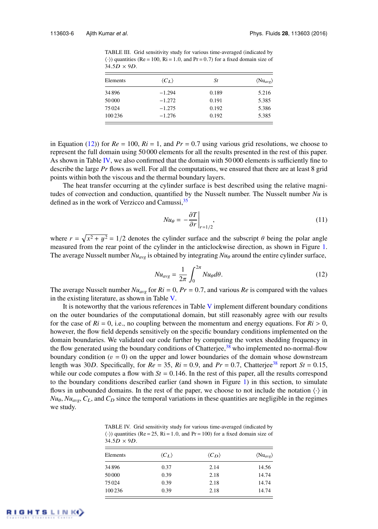| TABLE III. Grid sensitivity study for various time-averaged (indicated by                          |
|----------------------------------------------------------------------------------------------------|
| $\langle \cdot \rangle$ ) quantities (Re = 100, Ri = 1.0, and Pr = 0.7) for a fixed domain size of |
| $34.5D \times 9D$ .                                                                                |
|                                                                                                    |

| Elements | $\langle C_I \rangle$ | St    | $\langle Nu_{avg} \rangle$ |  |
|----------|-----------------------|-------|----------------------------|--|
| 34896    | $-1.294$              | 0.189 | 5.216                      |  |
| 50 000   | $-1.272$              | 0.191 | 5.385                      |  |
| 75024    | $-1.275$              | 0.192 | 5.386                      |  |
| 100 236  | $-1.276$              | 0.192 | 5.385                      |  |

in Equation (12)) for  $Re = 100$ ,  $Ri = 1$ , and  $Pr = 0.7$  using various grid resolutions, we choose to represent the full domain using 50 000 elements for all the results presented in the rest of this paper. As shown in Table IV, we also confirmed that the domain with  $50\,000$  elements is sufficiently fine to describe the large *Pr* flows as well. For all the computations, we ensured that there are at least 8 grid points within both the viscous and the thermal boundary layers.

The heat transfer occurring at the cylinder surface is best described using the relative magnitudes of convection and conduction, quantified by the Nusselt number. The Nusselt number *Nu* is defined as in the work of Verzicco and Camussi,  $35$ 

$$
Nu_{\theta} = -\frac{\partial T}{\partial r}\bigg|_{r=1/2},\tag{11}
$$

where  $r = \sqrt{x^2 + y^2} = 1/2$  denotes the cylinder surface and the subscript  $\theta$  being the polar angle measured from the rear point of the cylinder in the anticlockwise direction, as shown in Figure 1. The average Nusselt number  $Nu_{ave}$  is obtained by integrating  $Nu_{\theta}$  around the entire cylinder surface,

$$
Nu_{avg} = \frac{1}{2\pi} \int_0^{2\pi} Nu_{\theta} d\theta.
$$
 (12)

The average Nusselt number  $Nu_{avg}$  for  $Ri = 0$ ,  $Pr = 0.7$ , and various  $Re$  is compared with the values in the existing literature, as shown in Table V.

It is noteworthy that the various references in Table  $V$  implement different boundary conditions on the outer boundaries of the computational domain, but still reasonably agree with our results for the case of  $Ri = 0$ , i.e., no coupling between the momentum and energy equations. For  $Ri > 0$ , however, the flow field depends sensitively on the specific boundary conditions implemented on the domain boundaries. We validated our code further by computing the vortex shedding frequency in the flow generated using the boundary conditions of Chatterjee, $38$  who implemented no-normal-flow boundary condition ( $v = 0$ ) on the upper and lower boundaries of the domain whose downstream length was 30*D*. Specifically, for  $Re = 35$ ,  $Ri = 0.9$ , and  $Pr = 0.7$ , Chatterjee<sup>38</sup> report  $St = 0.15$ , while our code computes a flow with  $St = 0.146$ . In the rest of this paper, all the results correspond to the boundary conditions described earlier (and shown in Figure 1) in this section, to simulate flows in unbounded domains. In the rest of the paper, we choose to not include the notation  $\langle \cdot \rangle$  in  $N u_{\varphi}$ ,  $N u_{\varphi \varphi}$ ,  $C_L$ , and  $C_D$  since the temporal variations in these quantities are negligible in the regimes we study.

TABLE IV. Grid sensitivity study for various time-averaged (indicated by  $\langle \cdot \rangle$ ) quantities (Re = 25, Ri = 1.0, and Pr = 100) for a fixed domain size of  $34.5D \times 9D$ .

| Elements | $\langle C_L \rangle$ | $\langle C_D \rangle$ | $\langle Nu_{avg} \rangle$ |  |
|----------|-----------------------|-----------------------|----------------------------|--|
| 34896    | 0.37                  | 2.14                  | 14.56                      |  |
| 50 000   | 0.39                  | 2.18                  | 14.74                      |  |
| 75024    | 0.39                  | 2.18                  | 14.74                      |  |
| 100 236  | 0.39                  | 2.18                  | 14.74                      |  |

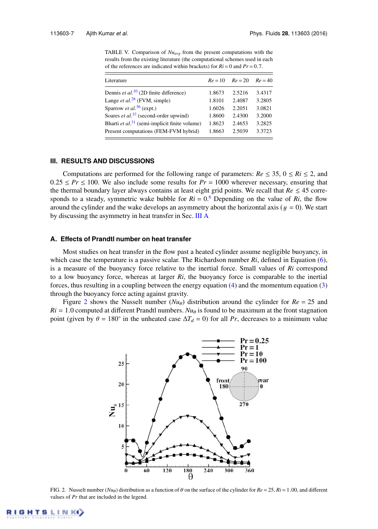TABLE V. Comparison of *Nuavg* from the present computations with the results from the existing literature (the computational schemes used in each of the references are indicated within brackets) for *Ri* = 0 and *Pr* = 0.7.

| Literature                                                | $Re = 10$ | $Re = 20$ | $Re = 40$ |
|-----------------------------------------------------------|-----------|-----------|-----------|
| Dennis et al. <sup>10</sup> (2D finite difference)        | 1.8673    | 2.5216    | 3.4317    |
| Lange <i>et al.</i> $^{26}$ (FVM, simple)                 | 1.8101    | 2.4087    | 3.2805    |
| Sparrow <i>et al.</i> <sup>36</sup> (expt.)               | 1.6026    | 2.2051    | 3.0821    |
| Soares et al. <sup>37</sup> (second-order upwind)         | 1.8600    | 2.4300    | 3.2000    |
| Bharti et al. <sup>31</sup> (semi-implicit finite volume) | 1.8623    | 2.4653    | 3.2825    |
| Present computations (FEM-FVM hybrid)                     | 1.8663    | 2.5039    | 3.3723    |
|                                                           |           |           |           |

#### **III. RESULTS AND DISCUSSIONS**

Computations are performed for the following range of parameters:  $Re \le 35$ ,  $0 \le Ri \le 2$ , and  $0.25 \le Pr \le 100$ . We also include some results for  $Pr = 1000$  wherever necessary, ensuring that the thermal boundary layer always contains at least eight grid points. We recall that  $Re \leq 45$  corresponds to a steady, symmetric wake bubble for  $Ri = 0.6$  Depending on the value of  $Ri$ , the flow around the cylinder and the wake develops an asymmetry about the horizontal axis ( $y = 0$ ). We start by discussing the asymmetry in heat transfer in Sec. III A

#### **A. Effects of Prandtl number on heat transfer**

Most studies on heat transfer in the flow past a heated cylinder assume negligible buoyancy, in which case the temperature is a passive scalar. The Richardson number *Ri*, defined in Equation (6), is a measure of the buoyancy force relative to the inertial force. Small values of *Ri* correspond to a low buoyancy force, whereas at larger *Ri*, the buoyancy force is comparable to the inertial forces, thus resulting in a coupling between the energy equation (4) and the momentum equation (3) through the buoyancy force acting against gravity.

Figure 2 shows the Nusselt number  $(Nu_{\theta})$  distribution around the cylinder for  $Re = 25$  and  $Ri = 1.0$  computed at different Prandtl numbers.  $Nu_{\theta}$  is found to be maximum at the front stagnation point (given by  $\theta = 180^\circ$  in the unheated case  $\Delta T_d = 0$ ) for all *Pr*, decreases to a minimum value



FIG. 2. Nusselt number (*Nu*θ) distribution as a function of θ on the surface of the cylinder for *Re* = 25, *Ri* = 1.00, and different values of *Pr* that are included in the legend.

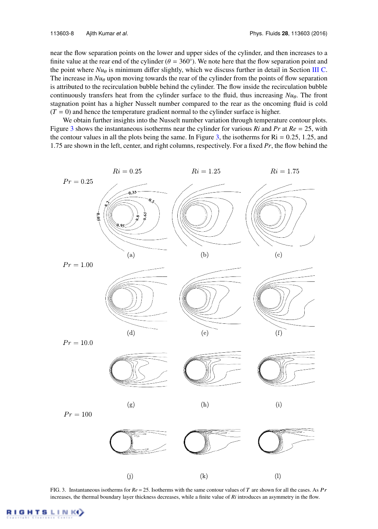near the flow separation points on the lower and upper sides of the cylinder, and then increases to a finite value at the rear end of the cylinder ( $\theta = 360^{\circ}$ ). We note here that the flow separation point and the point where  $Nu_{\theta}$  is minimum differ slightly, which we discuss further in detail in Section III C. The increase in  $Nu_{\theta}$  upon moving towards the rear of the cylinder from the points of flow separation is attributed to the recirculation bubble behind the cylinder. The flow inside the recirculation bubble continuously transfers heat from the cylinder surface to the fluid, thus increasing  $Nu_\theta$ . The front stagnation point has a higher Nusselt number compared to the rear as the oncoming fluid is cold  $(T = 0)$  and hence the temperature gradient normal to the cylinder surface is higher.

We obtain further insights into the Nusselt number variation through temperature contour plots. Figure 3 shows the instantaneous isotherms near the cylinder for various *Ri* and *Pr* at *Re* = 25, with the contour values in all the plots being the same. In Figure 3, the isotherms for  $\text{Ri} = 0.25, 1.25,$  and 1.75 are shown in the left, center, and right columns, respectively. For a fixed *Pr*, the flow behind the



FIG. 3. Instantaneous isotherms for *Re* = 25. Isotherms with the same contour values of T are shown for all the cases. As Pr increases, the thermal boundary layer thickness decreases, while a finite value of *Ri* introduces an asymmetry in the flow.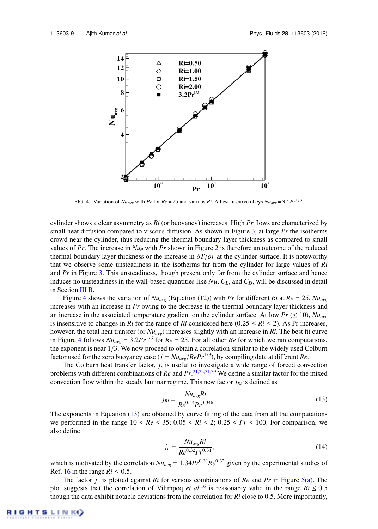

FIG. 4. Variation of  $Nu_{avg}$  with *Pr* for  $Re = 25$  and various *Ri*. A best fit curve obeys  $Nu_{avg} = 3.2 Pr^{1/3}$ .

cylinder shows a clear asymmetry as *Ri* (or buoyancy) increases. High *Pr* flows are characterized by small heat diffusion compared to viscous diffusion. As shown in Figure 3, at large *Pr* the isotherms crowd near the cylinder, thus reducing the thermal boundary layer thickness as compared to small values of  $Pr$ . The increase in  $Nu_{\theta}$  with  $Pr$  shown in Figure 2 is therefore an outcome of the reduced thermal boundary layer thickness or the increase in ∂*T*/∂*r* at the cylinder surface. It is noteworthy that we observe some unsteadiness in the isotherms far from the cylinder for large values of *Ri* and *Pr* in Figure 3. This unsteadiness, though present only far from the cylinder surface and hence induces no unsteadiness in the wall-based quantities like  $Nu$ ,  $C<sub>L</sub>$ , and  $C<sub>D</sub>$ , will be discussed in detail in Section III B.

Figure 4 shows the variation of  $Nu_{avg}$  (Equation (12)) with *Pr* for different *Ri* at  $Re = 25$ .  $Nu_{avg}$ increases with an increase in *Pr* owing to the decrease in the thermal boundary layer thickness and an increase in the associated temperature gradient on the cylinder surface. At low  $Pr ( \leq 10)$ ,  $Nu_{ave}$ is insensitive to changes in *Ri* for the range of *Ri* considered here (0.25  $\leq$  *Ri*  $\leq$  2). As Pr increases, however, the total heat transfer (or *Nuavg*) increases slightly with an increase in *Ri*. The best fit curve in Figure 4 follows  $Nu_{avg} = 3.2Pr^{1/3}$  for  $Re = 25$ . For all other  $Re$  for which we ran computations, the exponent is near  $1/3$ . We now proceed to obtain a correlation similar to the widely used Colburn factor used for the zero buoyancy case ( $j = Nu_{avg}/RePr^{1/3}$ ), by compiling data at different *Re*.

The Colburn heat transfer factor, *j*, is useful to investigate a wide range of forced convection problems with different combinations of *Re* and *Pr*. 21,22,31,39 We define a similar factor for the mixed convection flow within the steady laminar regime. This new factor  $j_{Ri}$  is defined as

$$
j_{Ri} = \frac{Nu_{avg}Ri}{Re^{0.44}Pr^{0.346}}.
$$
\n(13)

The exponents in Equation (13) are obtained by curve fitting of the data from all the computations we performed in the range  $10 \leq Re \leq 35$ ;  $0.05 \leq Ri \leq 2$ ;  $0.25 \leq Pr \leq 100$ . For comparison, we also define

$$
j_v = \frac{Nu_{avg}Ri}{Re^{0.32}Pr^{0.31}},\tag{14}
$$

which is motivated by the correlation  $Nu_{avg} = 1.34 Pr^{0.31} Re^{0.32}$  given by the experimental studies of Ref. 16 in the range  $Ri \leq 0.5$ .

The factor  $j_v$  is plotted against  $Ri$  for various combinations of  $Re$  and  $Pr$  in Figure 5(a). The plot suggests that the correlation of Vilimpoq *et al*.<sup>16</sup> is reasonably valid in the range  $Ri \le 0.5$ though the data exhibit notable deviations from the correlation for *Ri* close to 0.5. More importantly,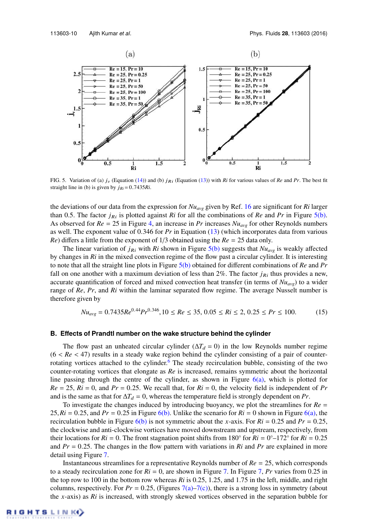

FIG. 5. Variation of (a)  $j_v$  (Equation (14)) and (b)  $j_{Ri}$  (Equation (13)) with *Ri* for various values of *Re* and *Pr*. The best fit straight line in (b) is given by  $j_{Ri} = 0.7435Ri$ .

the deviations of our data from the expression for *Nuavg* given by Ref. 16 are significant for *Ri* larger than 0.5. The factor  $j_{Ri}$  is plotted against *Ri* for all the combinations of *Re* and *Pr* in Figure 5(b). As observed for  $Re = 25$  in Figure 4, an increase in *Pr* increases  $Nu_{avg}$  for other Reynolds numbers as well. The exponent value of 0.346 for *Pr* in Equation (13) (which incorporates data from various *Re*) differs a little from the exponent of 1/3 obtained using the *Re* = 25 data only.

The linear variation of  $j_{Ri}$  with  $Ri$  shown in Figure 5(b) suggests that  $Nu_{avg}$  is weakly affected by changes in *Ri* in the mixed convection regime of the flow past a circular cylinder. It is interesting to note that all the straight line plots in Figure 5(b) obtained for different combinations of *Re* and *Pr* fall on one another with a maximum deviation of less than  $2\%$ . The factor  $j_{Ri}$  thus provides a new, accurate quantification of forced and mixed convection heat transfer (in terms of *Nuavg*) to a wider range of *Re*, *Pr*, and *Ri* within the laminar separated flow regime. The average Nusselt number is therefore given by

$$
Nu_{avg} = 0.7435Re^{0.44}Pr^{0.346}, 10 \le Re \le 35, 0.05 \le Ri \le 2, 0.25 \le Pr \le 100.
$$
 (15)

#### **B. Effects of Prandtl number on the wake structure behind the cylinder**

The flow past an unheated circular cylinder ( $\Delta T_d = 0$ ) in the low Reynolds number regime  $(6 < Re < 47)$  results in a steady wake region behind the cylinder consisting of a pair of counterrotating vortices attached to the cylinder.<sup>6</sup> The steady recirculation bubble, consisting of the two counter-rotating vortices that elongate as *Re* is increased, remains symmetric about the horizontal line passing through the centre of the cylinder, as shown in Figure  $6(a)$ , which is plotted for  $Re = 25$ ,  $Ri = 0$ , and  $Pr = 0.25$ . We recall that, for  $Ri = 0$ , the velocity field is independent of  $Pr$ and is the same as that for  $\Delta T_d = 0$ , whereas the temperature field is strongly dependent on *Pr*.

To investigate the changes induced by introducing buoyancy, we plot the streamlines for *Re* = 25,  $Ri = 0.25$ , and  $Pr = 0.25$  in Figure 6(b). Unlike the scenario for  $Ri = 0$  shown in Figure 6(a), the recirculation bubble in Figure  $6(b)$  is not symmetric about the *x*-axis. For  $Ri = 0.25$  and  $Pr = 0.25$ , the clockwise and anti-clockwise vortices have moved downstream and upstream, respectively, from their locations for  $Ri = 0$ . The front stagnation point shifts from 180° for  $Ri = 0^{\circ} - 172^{\circ}$  for  $Ri = 0.25$ and  $Pr = 0.25$ . The changes in the flow pattern with variations in *Ri* and *Pr* are explained in more detail using Figure 7.

Instantaneous streamlines for a representative Reynolds number of *Re* = 25, which corresponds to a steady recirculation zone for  $Ri = 0$ , are shown in Figure 7. In Figure 7, *Pr* varies from 0.25 in the top row to 100 in the bottom row whereas *Ri* is 0.25, 1.25, and 1.75 in the left, middle, and right columns, respectively. For  $Pr = 0.25$ , (Figures 7(a)–7(c)), there is a strong loss in symmetry (about the *x*-axis) as *Ri* is increased, with strongly skewed vortices observed in the separation bubble for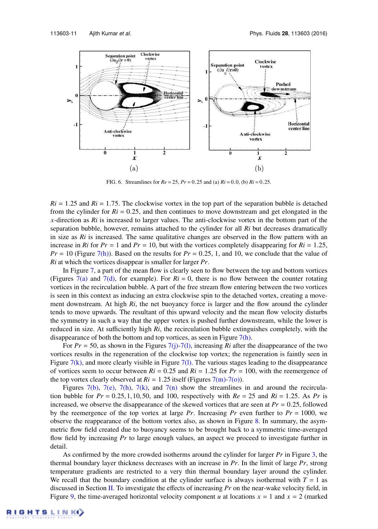

FIG. 6. Streamlines for *Re* = 25, *Pr* = 0.25 and (a) *Ri* = 0.0, (b) *Ri* = 0.25.

 $Ri = 1.25$  and  $Ri = 1.75$ . The clockwise vortex in the top part of the separation bubble is detached from the cylinder for  $Ri = 0.25$ , and then continues to move downstream and get elongated in the *x*-direction as *Ri* is increased to larger values. The anti-clockwise vortex in the bottom part of the separation bubble, however, remains attached to the cylinder for all *Ri* but decreases dramatically in size as *Ri* is increased. The same qualitative changes are observed in the flow pattern with an increase in *Ri* for  $Pr = 1$  and  $Pr = 10$ , but with the vortices completely disappearing for  $Ri = 1.25$ ,  $Pr = 10$  (Figure 7(h)). Based on the results for  $Pr = 0.25$ , 1, and 10, we conclude that the value of *Ri* at which the vortices disappear is smaller for larger *Pr*.

In Figure 7, a part of the mean flow is clearly seen to flow between the top and bottom vortices (Figures 7(a) and 7(d), for example). For  $Ri = 0$ , there is no flow between the counter rotating vortices in the recirculation bubble. A part of the free stream flow entering between the two vortices is seen in this context as inducing an extra clockwise spin to the detached vortex, creating a movement downstream. At high *Ri*, the net buoyancy force is larger and the flow around the cylinder tends to move upwards. The resultant of this upward velocity and the mean flow velocity disturbs the symmetry in such a way that the upper vortex is pushed further downstream, while the lower is reduced in size. At sufficiently high *Ri*, the recirculation bubble extinguishes completely, with the disappearance of both the bottom and top vortices, as seen in Figure  $7(h)$ .

For  $Pr = 50$ , as shown in the Figures  $7(j)$ -7(1), increasing *Ri* after the disappearance of the two vortices results in the regeneration of the clockwise top vortex; the regeneration is faintly seen in Figure  $7(k)$ , and more clearly visible in Figure  $7(1)$ . The various stages leading to the disappearance of vortices seem to occur between  $Ri = 0.25$  and  $Ri = 1.25$  for  $Pr = 100$ , with the reemergence of the top vortex clearly observed at  $Ri = 1.25$  itself (Figures 7(m)-7(o)).

Figures 7(b), 7(e), 7(h), 7(k), and 7(n) show the streamlines in and around the recirculation bubble for  $Pr = 0.25, 1, 10, 50$ , and 100, respectively with  $Re = 25$  and  $Ri = 1.25$ . As Pr is increased, we observe the disappearance of the skewed vortices that are seen at *Pr* = 0.25, followed by the reemergence of the top vortex at large  $Pr$ . Increasing  $Pr$  even further to  $Pr = 1000$ , we observe the reappearance of the bottom vortex also, as shown in Figure 8. In summary, the asymmetric flow field created due to buoyancy seems to be brought back to a symmetric time-averaged flow field by increasing *Pr* to large enough values, an aspect we proceed to investigate further in detail.

As confirmed by the more crowded isotherms around the cylinder for larger *Pr* in Figure 3, the thermal boundary layer thickness decreases with an increase in *Pr*. In the limit of large *Pr*, strong temperature gradients are restricted to a very thin thermal boundary layer around the cylinder. We recall that the boundary condition at the cylinder surface is always isothermal with  $T = 1$  as discussed in Section II. To investigate the effects of increasing *Pr* on the near-wake velocity field, in Figure 9, the time-averaged horizontal velocity component *u* at locations  $x = 1$  and  $x = 2$  (marked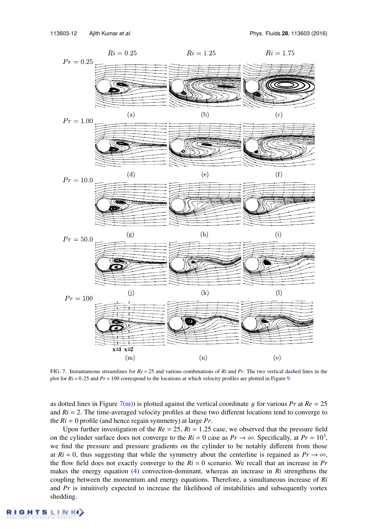

FIG. 7. Instantaneous streamlines for *Re* = 25 and various combinations of *Ri* and *Pr*. The two vertical dashed lines in the plot for *Ri* = 0.25 and *Pr* = 100 correspond to the locations at which velocity profiles are plotted in Figure 9.

as dotted lines in Figure  $7(m)$ ) is plotted against the vertical coordinate y for various *Pr* at  $Re = 25$ and  $Ri = 2$ . The time-averaged velocity profiles at these two different locations tend to converge to the *Ri* = 0 profile (and hence regain symmetry) at large *Pr*.

Upon further investigation of the  $Re = 25$ ,  $Ri = 1.25$  case, we observed that the pressure field on the cylinder surface does not converge to the  $Ri = 0$  case as  $Pr \rightarrow \infty$ . Specifically, at  $Pr = 10^3$ , we find the pressure and pressure gradients on the cylinder to be notably different from those at  $Ri = 0$ , thus suggesting that while the symmetry about the centerline is regained as  $Pr \rightarrow \infty$ , the flow field does not exactly converge to the *Ri* = 0 scenario. We recall that an increase in *Pr* makes the energy equation (4) convection-dominant, whereas an increase in *Ri* strengthens the coupling between the momentum and energy equations. Therefore, a simultaneous increase of *Ri* and *Pr* is intuitively expected to increase the likelihood of instabilities and subsequently vortex shedding.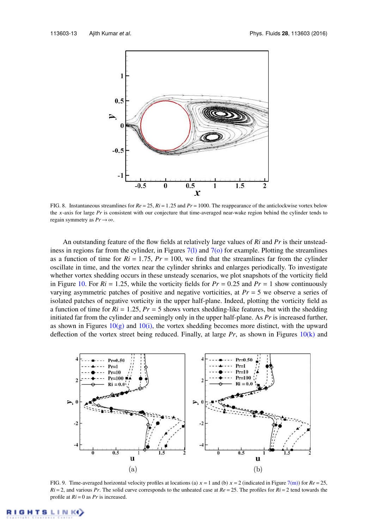

FIG. 8. Instantaneous streamlines for *Re* = 25, *Ri* = 1.25 and *Pr* = 1000. The reappearance of the anticlockwise vortex below the x-axis for large *Pr* is consistent with our conjecture that time-averaged near-wake region behind the cylinder tends to regain symmetry as  $Pr \rightarrow \infty$ .

An outstanding feature of the flow fields at relatively large values of *Ri* and *Pr* is their unsteadiness in regions far from the cylinder, in Figures  $7(1)$  and  $7(0)$  for example. Plotting the streamlines as a function of time for  $Ri = 1.75$ ,  $Pr = 100$ , we find that the streamlines far from the cylinder oscillate in time, and the vortex near the cylinder shrinks and enlarges periodically. To investigate whether vortex shedding occurs in these unsteady scenarios, we plot snapshots of the vorticity field in Figure 10. For  $Ri = 1.25$ , while the vorticity fields for  $Pr = 0.25$  and  $Pr = 1$  show continuously varying asymmetric patches of positive and negative vorticities, at *Pr* = 5 we observe a series of isolated patches of negative vorticity in the upper half-plane. Indeed, plotting the vorticity field as a function of time for  $Ri = 1.25$ ,  $Pr = 5$  shows vortex shedding-like features, but with the shedding initiated far from the cylinder and seemingly only in the upper half-plane. As *Pr* is increased further, as shown in Figures  $10(g)$  and  $10(i)$ , the vortex shedding becomes more distinct, with the upward deflection of the vortex street being reduced. Finally, at large  $Pr$ , as shown in Figures  $10(k)$  and



FIG. 9. Time-averaged horizontal velocity profiles at locations (a)  $x = 1$  and (b)  $x = 2$  (indicated in Figure 7(m)) for  $Re = 25$ ,  $Ri = 2$ , and various *Pr*. The solid curve corresponds to the unheated case at  $Re = 25$ . The profiles for  $Ri = 2$  tend towards the profile at *Ri* = 0 as *Pr* is increased.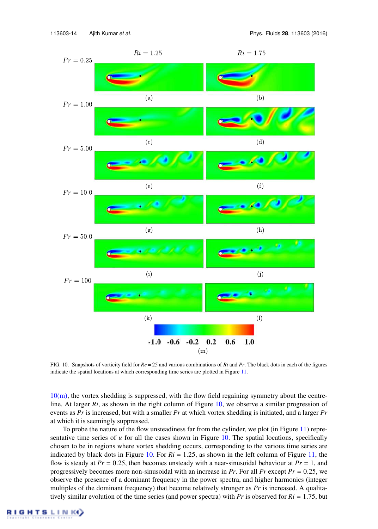

FIG. 10. Snapshots of vorticity field for *Re* = 25 and various combinations of *Ri* and *Pr*. The black dots in each of the figures indicate the spatial locations at which corresponding time series are plotted in Figure 11.

 $10(m)$ , the vortex shedding is suppressed, with the flow field regaining symmetry about the centreline. At larger *Ri*, as shown in the right column of Figure 10, we observe a similar progression of events as *Pr* is increased, but with a smaller *Pr* at which vortex shedding is initiated, and a larger *Pr* at which it is seemingly suppressed.

To probe the nature of the flow unsteadiness far from the cylinder, we plot (in Figure 11) representative time series of  $u$  for all the cases shown in Figure 10. The spatial locations, specifically chosen to be in regions where vortex shedding occurs, corresponding to the various time series are indicated by black dots in Figure 10. For  $Ri = 1.25$ , as shown in the left column of Figure 11, the flow is steady at  $Pr = 0.25$ , then becomes unsteady with a near-sinusoidal behaviour at  $Pr = 1$ , and progressively becomes more non-sinusoidal with an increase in *Pr*. For all *Pr* except *Pr* = 0.25, we observe the presence of a dominant frequency in the power spectra, and higher harmonics (integer multiples of the dominant frequency) that become relatively stronger as *Pr* is increased. A qualitatively similar evolution of the time series (and power spectra) with *Pr* is observed for *Ri* = 1.75, but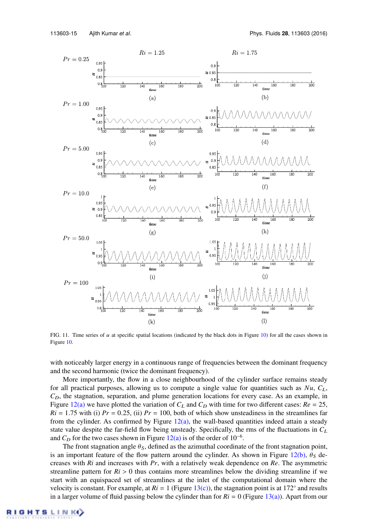

FIG. 11. Time series of  $u$  at specific spatial locations (indicated by the black dots in Figure 10) for all the cases shown in Figure 10.

with noticeably larger energy in a continuous range of frequencies between the dominant frequency and the second harmonic (twice the dominant frequency).

More importantly, the flow in a close neighbourhood of the cylinder surface remains steady for all practical purposes, allowing us to compute a single value for quantities such as  $Nu$ ,  $C_L$ ,  $C_D$ , the stagnation, separation, and plume generation locations for every case. As an example, in Figure 12(a) we have plotted the variation of  $C_L$  and  $C_D$  with time for two different cases:  $Re = 25$ ,  $Ri = 1.75$  with (i)  $Pr = 0.25$ , (ii)  $Pr = 100$ , both of which show unsteadiness in the streamlines far from the cylinder. As confirmed by Figure  $12(a)$ , the wall-based quantities indeed attain a steady state value despite the far-field flow being unsteady. Specifically, the rms of the fluctuations in *C*<sup>L</sup> and  $C_D$  for the two cases shown in Figure 12(a) is of the order of 10<sup>-6</sup>.

The front stagnation angle  $\theta_S$ , defined as the azimuthal coordinate of the front stagnation point, is an important feature of the flow pattern around the cylinder. As shown in Figure 12(b),  $\theta_S$  decreases with *Ri* and increases with *Pr*, with a relatively weak dependence on *Re*. The asymmetric streamline pattern for  $Ri > 0$  thus contains more streamlines below the dividing streamline if we start with an equispaced set of streamlines at the inlet of the computational domain where the velocity is constant. For example, at  $Ri = 1$  (Figure 13(c)), the stagnation point is at 172 $^{\circ}$  and results in a larger volume of fluid passing below the cylinder than for  $Ri = 0$  (Figure 13(a)). Apart from our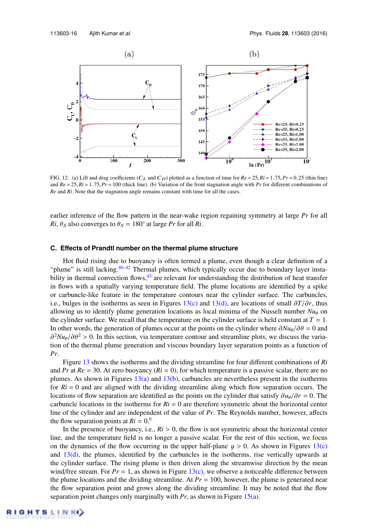

FIG. 12. (a) Lift and drag coefficients  $(C_L$  and  $C_D)$  plotted as a function of time for  $Re = 25$ ,  $Ri = 1.75$ ,  $Pr = 0.25$  (thin line) and  $Re = 25$ ,  $Ri = 1.75$ ,  $Pr = 100$  (thick line). (b) Variation of the front stagnation angle with *Pr* for different combinations of *Re* and *Ri*. Note that the stagnation angle remains constant with time for all the cases.

earlier inference of the flow pattern in the near-wake region regaining symmetry at large *Pr* for all  $Ri$ ,  $\theta_S$  also converges to  $\theta_S = 180^\circ$  at large *Pr* for all *Ri*.

#### **C. Effects of Prandtl number on the thermal plume structure**

Hot fluid rising due to buoyancy is often termed a plume, even though a clear definition of a "plume" is still lacking.<sup>40–42</sup> Thermal plumes, which typically occur due to boundary layer instability in thermal convection flows, $43$  are relevant for understanding the distribution of heat transfer in flows with a spatially varying temperature field. The plume locations are identified by a spike or carbuncle-like feature in the temperature contours near the cylinder surface. The carbuncles, i.e., bulges in the isotherms as seen in Figures 13(c) and 13(d), are locations of small ∂*T*/∂*r*, thus allowing us to identify plume generation locations as local minima of the Nusselt number  $Nu_\theta$  on the cylinder surface. We recall that the temperature on the cylinder surface is held constant at  $T = 1$ . In other words, the generation of plumes occur at the points on the cylinder where  $\frac{\partial Nu_{\theta}}{\partial \theta} = 0$  and  $\partial^2 Nu_{\theta}/\partial \theta^2 > 0$ . In this section, via temperature contour and streamline plots, we discuss the variation of the thermal plume generation and viscous boundary layer separation points as a function of *Pr*.

Figure 13 shows the isotherms and the dividing streamline for four different combinations of *Ri* and *Pr* at  $Re = 30$ . At zero buoyancy ( $Ri = 0$ ), for which temperature is a passive scalar, there are no plumes. As shown in Figures  $13(a)$  and  $13(b)$ , carbuncles are nevertheless present in the isotherms for  $Ri = 0$  and are aligned with the dividing streamline along which flow separation occurs. The locations of flow separation are identified as the points on the cylinder that satisfy  $\partial u_{\theta}/\partial r = 0$ . The carbuncle locations in the isotherms for  $Ri = 0$  are therefore symmetric about the horizontal center line of the cylinder and are independent of the value of *Pr*. The Reynolds number, however, affects the flow separation points at  $Ri = 0.6$ 

In the presence of buoyancy, i.e.,  $Ri > 0$ , the flow is not symmetric about the horizontal center line, and the temperature field is no longer a passive scalar. For the rest of this section, we focus on the dynamics of the flow occurring in the upper half-plane  $y > 0$ . As shown in Figures 13(c) and  $13(d)$ , the plumes, identified by the carbuncles in the isotherms, rise vertically upwards at the cylinder surface. The rising plume is then driven along the streamwise direction by the mean wind/free stream. For  $Pr = 1$ , as shown in Figure 13(c), we observe a noticeable difference between the plume locations and the dividing streamline. At  $Pr = 100$ , however, the plume is generated near the flow separation point and grows along the dividing streamline. It may be noted that the flow separation point changes only marginally with *Pr*, as shown in Figure 15(a).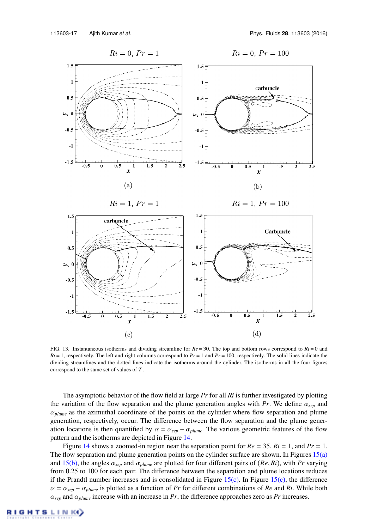

FIG. 13. Instantaneous isotherms and dividing streamline for  $Re = 30$ . The top and bottom rows correspond to  $Ri = 0$  and  $Ri = 1$ , respectively. The left and right columns correspond to  $Pr = 1$  and  $Pr = 100$ , respectively. The solid lines indicate the dividing streamlines and the dotted lines indicate the isotherms around the cylinder. The isotherms in all the four figures correspond to the same set of values of T.

The asymptotic behavior of the flow field at large *Pr* for all *Ri* is further investigated by plotting the variation of the flow separation and the plume generation angles with *Pr*. We define α*sep* and  $\alpha_{\text{plane}}$  as the azimuthal coordinate of the points on the cylinder where flow separation and plume generation, respectively, occur. The difference between the flow separation and the plume generation locations is then quantified by  $\alpha = \alpha_{sep} - \alpha_{plane}$ . The various geometric features of the flow pattern and the isotherms are depicted in Figure 14.

Figure 14 shows a zoomed-in region near the separation point for  $Re = 35$ ,  $Ri = 1$ , and  $Pr = 1$ . The flow separation and plume generation points on the cylinder surface are shown. In Figures  $15(a)$ and 15(b), the angles  $\alpha_{sep}$  and  $\alpha_{plane}$  are plotted for four different pairs of (*Re, Ri*), with *Pr* varying from 0.25 to 100 for each pair. The difference between the separation and plume locations reduces if the Prandtl number increases and is consolidated in Figure  $15(c)$ . In Figure  $15(c)$ , the difference  $\alpha = \alpha_{sep} - \alpha_{plane}$  is plotted as a function of *Pr* for different combinations of *Re* and *Ri*. While both  $\alpha_{sep}$  and  $\alpha_{plume}$  increase with an increase in *Pr*, the difference approaches zero as *Pr* increases.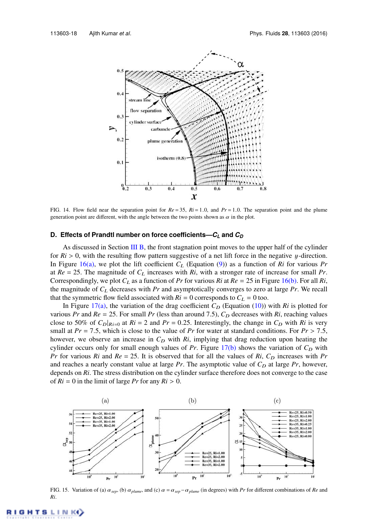

FIG. 14. Flow field near the separation point for  $Re = 35$ ,  $Ri = 1.0$ , and  $Pr = 1.0$ . The separation point and the plume generation point are different, with the angle between the two points shown as  $\alpha$  in the plot.

## **D. Effects of Prandtl number on force coefficients—***C<sup>L</sup>* **and** *C<sup>D</sup>*

As discussed in Section III B, the front stagnation point moves to the upper half of the cylinder for  $Ri > 0$ , with the resulting flow pattern suggestive of a net lift force in the negative y-direction. In Figure 16(a), we plot the lift coefficient  $C_L$  (Equation (9)) as a function of  $Ri$  for various  $Pr$ at  $Re = 25$ . The magnitude of  $C_L$  increases with  $R_i$ , with a stronger rate of increase for small Pr. Correspondingly, we plot  $C_L$  as a function of *Pr* for various *Ri* at  $Re = 25$  in Figure 16(b). For all *Ri*, the magnitude of *C*<sup>L</sup> decreases with *Pr* and asymptotically converges to zero at large *Pr*. We recall that the symmetric flow field associated with  $Ri = 0$  corresponds to  $C_L = 0$  too.

In Figure 17(a), the variation of the drag coefficient  $C_D$  (Equation (10)) with *Ri* is plotted for various *Pr* and  $Re = 25$ . For small *Pr* (less than around 7.5),  $C_D$  decreases with *Ri*, reaching values close to 50% of  $C_D|_{R_i=0}$  at  $R_i=2$  and  $Pr=0.25$ . Interestingly, the change in  $C_D$  with  $R_i$  is very small at  $Pr = 7.5$ , which is close to the value of  $Pr$  for water at standard conditions. For  $Pr > 7.5$ , however, we observe an increase in  $C_D$  with  $R_i$ , implying that drag reduction upon heating the cylinder occurs only for small enough values of  $Pr$ . Figure  $17(b)$  shows the variation of  $C_D$  with *Pr* for various *Ri* and  $Re = 25$ . It is observed that for all the values of *Ri*,  $C_D$  increases with *Pr* and reaches a nearly constant value at large  $Pr$ . The asymptotic value of  $C_D$  at large  $Pr$ , however, depends on *Ri*. The stress distribution on the cylinder surface therefore does not converge to the case of  $Ri = 0$  in the limit of large *Pr* for any  $Ri > 0$ .



FIG. 15. Variation of (a)  $\alpha_{sep}$ , (b)  $\alpha_{plume}$ , and (c)  $\alpha = \alpha_{sep} - \alpha_{plume}$  (in degrees) with *Pr* for different combinations of *Re* and *Ri*.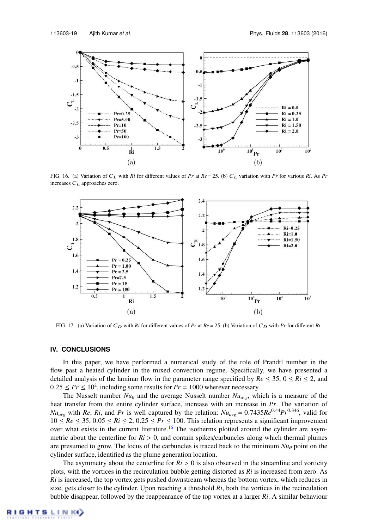

FIG. 16. (a) Variation of  $C_L$  with *Ri* for different values of *Pr* at  $Re = 25$ . (b)  $C_L$  variation with *Pr* for various *Ri*. As *Pr* increases  $C_L$  approaches zero.



FIG. 17. (a) Variation of  $C_D$  with  $Ri$  for different values of  $Pr$  at  $Re = 25$ . (b) Variation of  $C_D$  with  $Pr$  for different  $Ri$ .

### **IV. CONCLUSIONS**

In this paper, we have performed a numerical study of the role of Prandtl number in the flow past a heated cylinder in the mixed convection regime. Specifically, we have presented a detailed analysis of the laminar flow in the parameter range specified by  $Re \le 35$ ,  $0 \le Ri \le 2$ , and  $0.25 \le Pr \le 10^2$ , including some results for  $Pr = 1000$  wherever necessary.

The Nusselt number  $Nu_{\theta}$  and the average Nusselt number  $Nu_{\alpha yg}$ , which is a measure of the heat transfer from the entire cylinder surface, increase with an increase in *Pr*. The variation of *Nu<sub>avg</sub>* with *Re*, *Ri*, and *Pr* is well captured by the relation:  $Nu_{avg} = 0.7435Re^{0.44}Pr^{0.346}$ , valid for 10 ≤  $Re$  ≤ 35, 0.05 ≤  $Ri$  ≤ 2, 0.25 ≤  $Pr$  ≤ 100. This relation represents a significant improvement over what exists in the current literature.<sup>16</sup> The isotherms plotted around the cylinder are asymmetric about the centerline for  $Ri > 0$ , and contain spikes/carbuncles along which thermal plumes are presumed to grow. The locus of the carbuncles is traced back to the minimum  $Nu_{\theta}$  point on the cylinder surface, identified as the plume generation location.

The asymmetry about the centerline for  $Ri > 0$  is also observed in the streamline and vorticity plots, with the vortices in the recirculation bubble getting distorted as *Ri* is increased from zero. As *Ri* is increased, the top vortex gets pushed downstream whereas the bottom vortex, which reduces in size, gets closer to the cylinder. Upon reaching a threshold *Ri*, both the vortices in the recirculation bubble disappear, followed by the reappearance of the top vortex at a larger *Ri*. A similar behaviour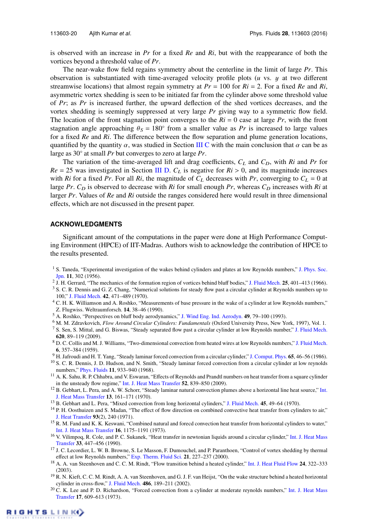is observed with an increase in *Pr* for a fixed *Re* and *Ri*, but with the reappearance of both the vortices beyond a threshold value of *Pr*.

The near-wake flow field regains symmetry about the centerline in the limit of large *Pr*. This observation is substantiated with time-averaged velocity profile plots (*u* vs. y at two different streamwise locations) that almost regain symmetry at  $Pr = 100$  for  $Ri = 2$ . For a fixed  $Re$  and  $Ri$ , asymmetric vortex shedding is seen to be initiated far from the cylinder above some threshold value of *Pr*; as *Pr* is increased further, the upward deflection of the shed vortices decreases, and the vortex shedding is seemingly suppressed at very large *Pr* giving way to a symmetric flow field. The location of the front stagnation point converges to the  $Ri = 0$  case at large  $Pr$ , with the front stagnation angle approaching  $\theta_S = 180^\circ$  from a smaller value as *Pr* is increased to large values for a fixed *Re* and *Ri*. The difference between the flow separation and plume generation locations, quantified by the quantity  $\alpha$ , was studied in Section III C with the main conclusion that  $\alpha$  can be as large as 30◦ at small *Pr* but converges to zero at large *Pr*.

The variation of the time-averaged lift and drag coefficients,  $C_L$  and  $C_D$ , with *Ri* and *Pr* for  $Re = 25$  was investigated in Section III D.  $C_L$  is negative for  $R_i > 0$ , and its magnitude increases with *Ri* for a fixed *Pr*. For all *Ri*, the magnitude of  $C_L$  decreases with *Pr*, converging to  $C_L = 0$  at large *Pr*.  $C_D$  is observed to decrease with  $R_i$  for small enough *Pr*, whereas  $C_D$  increases with  $R_i$  at larger *Pr*. Values of *Re* and *Ri* outside the ranges considered here would result in three dimensional effects, which are not discussed in the present paper.

#### **ACKNOWLEDGMENTS**

Significant amount of the computations in the paper were done at High Performance Computing Environment (HPCE) of IIT-Madras. Authors wish to acknowledge the contribution of HPCE to the results presented.

- <sup>1</sup> S. Taneda, "Experimental investigation of the wakes behind cylinders and plates at low Reynolds numbers," J. Phys. Soc. Jpn. 11, 302 (1956).
- 2 J. H. Gerrard, "The mechanics of the formation region of vortices behind bluff bodies," J. Fluid Mech. 25, 401–413 (1966).
- <sup>3</sup> S. C. R. Dennis and G. Z. Chang, "Numerical solutions for steady flow past a circular cylinder at Reynolds numbers up to 100," J. Fluid Mech. 42, 471–489 (1970).
- <sup>4</sup> C. H. K. Williamson and A. Roshko, "Measurements of base pressure in the wake of a cylinder at low Reynolds numbers," Z. Flugwiss. Weltraumforsch. 14, 38–46 (1990).
- <sup>5</sup> A. Roshko, "Perspectives on bluff body aerodynamics," J. Wind Eng. Ind. Aerodyn. 49, 79–100 (1993).
- <sup>6</sup> M. M. Zdravkovich, *Flow Around Circular Cylinders: Fundamentals* (Oxford University Press, New York, 1997), Vol. 1.
- <sup>7</sup> S. Sen, S. Mittal, and G. Biswas, "Steady separated flow past a circular cylinder at low Reynolds number," J. Fluid Mech. 620, 89–119 (2009).
- <sup>8</sup> D. C. Collis and M. J. Williams, "Two-dimensional convection from heated wires at low Reynolds numbers," J. Fluid Mech. 6, 357–384 (1959).
- <sup>9</sup> H. Jafroudi and H. T. Yang, "Steady laminar forced convection from a circular cylinder," J. Comput. Phys. 65, 46–56 (1986).
- <sup>10</sup> S. C. R. Dennis, J. D. Hudson, and N. Smith, "Steady laminar forced convection from a circular cylinder at low reynolds numbers," Phys. Fluids 11, 933–940 (1968).
- <sup>11</sup> A. K. Sahu, R. P. Chhabra, and V. Eswaran, "Effects of Reynolds and Prandtl numbers on heat transfer from a square cylinder in the unsteady flow regime," Int. J. Heat Mass Transfer 52, 839–850 (2009).
- <sup>12</sup> B. Gebhart, L. Pera, and A. W. Schorr, "Steady laminar natural convection plumes above a horizontal line heat source," Int. J. Heat Mass Transfer 13, 161–171 (1970).
- <sup>13</sup> B. Gebhart and L. Pera, "Mixed convection from long horizontal cylinders," J. Fluid Mech. 45, 49-64 (1970).
- <sup>14</sup> P. H. Oosthuizen and S. Madan, "The effect of flow direction on combined convective heat transfer from cylinders to air," J. Heat Transfer 93(2), 240 (1971).
- <sup>15</sup> R. M. Fand and K. K. Keswani, "Combined natural and forecd convection heat transfer from horizontal cylinders to water," Int. J. Heat Mass Transfer 16, 1175–1191 (1973).
- <sup>16</sup> V. Vilimpoq, R. Cole, and P. C. Sukanek, "Heat transfer in newtonian liquids around a circular cylinder," Int. J. Heat Mass Transfer 33, 447–456 (1990).
- <sup>17</sup> J. C. Lecordier, L. W. B. Browne, S. Le Masson, F. Dumouchel, and P. Paranthoen, "Control of vortex shedding by thermal effect at low Reynolds numbers," Exp. Therm. Fluid Sci. 21, 227-237 (2000).
- <sup>18</sup> A. A. van Steenhoven and C. C. M. Rindt, "Flow transition behind a heated cylinder," Int. J. Heat Fluid Flow 24, 322-333 (2003).
- <sup>19</sup> R. N. Kieft, C. C. M. Rindt, A. A. van Steenhoven, and G. J. F. van Heijst, "On the wake structure behind a heated horizontal cylinder in cross-flow," J. Fluid Mech. 486, 189–211 (2002).
- $20$  C. K. Lee and P. D. Richardson, "Forced convection from a cylinder at moderate reynolds numbers," Int. J. Heat Mass Transfer 17, 609–613 (1973).